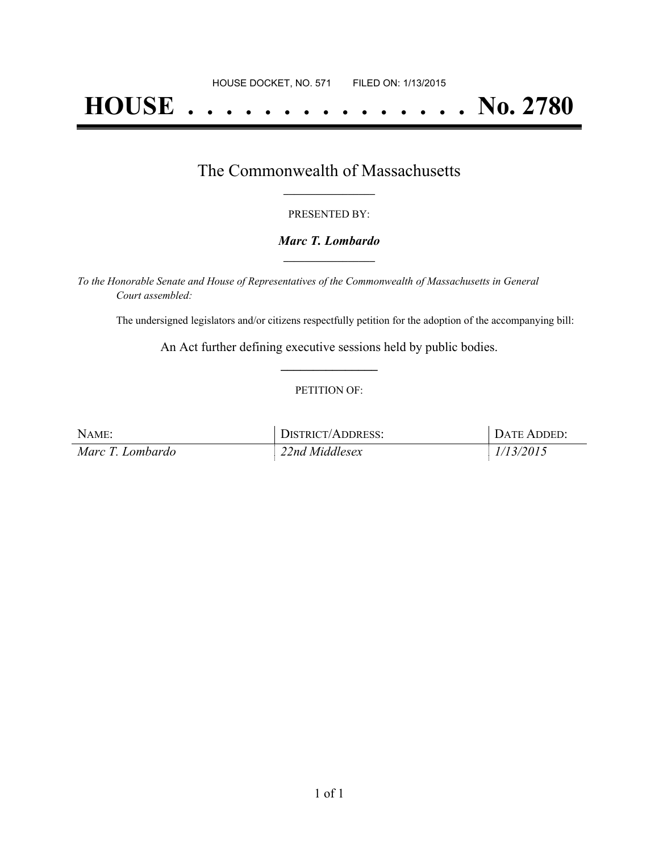# **HOUSE . . . . . . . . . . . . . . . No. 2780**

### The Commonwealth of Massachusetts **\_\_\_\_\_\_\_\_\_\_\_\_\_\_\_\_\_**

#### PRESENTED BY:

#### *Marc T. Lombardo* **\_\_\_\_\_\_\_\_\_\_\_\_\_\_\_\_\_**

*To the Honorable Senate and House of Representatives of the Commonwealth of Massachusetts in General Court assembled:*

The undersigned legislators and/or citizens respectfully petition for the adoption of the accompanying bill:

An Act further defining executive sessions held by public bodies. **\_\_\_\_\_\_\_\_\_\_\_\_\_\_\_**

#### PETITION OF:

| NAME:            | DISTRICT/ADDRESS: | <b>DATE ADDED:</b> |
|------------------|-------------------|--------------------|
| Marc T. Lombardo | 22nd Middlesex    | 1/13/2015          |